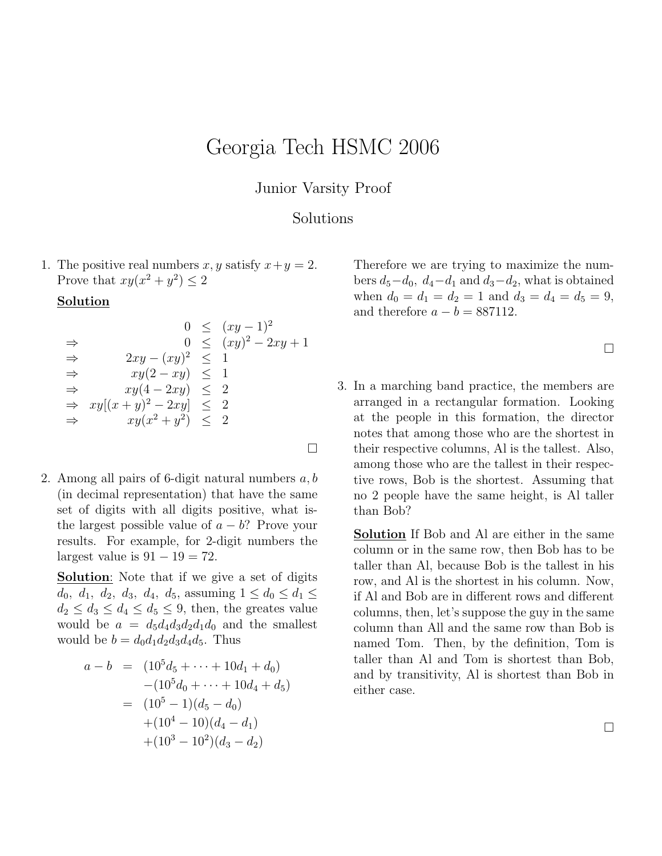## Georgia Tech HSMC 2006

## Junior Varsity Proof

## Solutions

1. The positive real numbers x, y satisfy  $x + y = 2$ . Prove that  $xy(x^2+y^2) \leq 2$ 

## **Solution**

$$
0 \leq (xy - 1)^2
$$
  
\n
$$
\Rightarrow \qquad 0 \leq (xy)^2 - 2xy + 1
$$
  
\n
$$
\Rightarrow \qquad 2xy - (xy)^2 \leq 1
$$
  
\n
$$
\Rightarrow \qquad xy(2 - xy) \leq 1
$$
  
\n
$$
\Rightarrow \qquad xy(4 - 2xy) \leq 2
$$
  
\n
$$
\Rightarrow \qquad xy[(x + y)^2 - 2xy] \leq 2
$$
  
\n
$$
\Rightarrow \qquad xy(x^2 + y^2) \leq 2
$$

2. Among all pairs of 6-digit natural numbers  $a, b$ (in decimal representation) that have the same set of digits with all digits positive, what isthe largest possible value of  $a - b$ ? Prove your results. For example, for 2-digit numbers the largest value is  $91 - 19 = 72$ .

Solution: Note that if we give a set of digits  $d_0, d_1, d_2, d_3, d_4, d_5$ , assuming  $1 \leq d_0 \leq d_1 \leq$  $d_2 \leq d_3 \leq d_4 \leq d_5 \leq 9$ , then, the greates value would be  $a = d_5d_4d_3d_2d_1d_0$  and the smallest would be  $b = d_0d_1d_2d_3d_4d_5$ . Thus

$$
a - b = (105d5 + \dots + 10d1 + d0)
$$
  
\n
$$
- (105d0 + \dots + 10d4 + d5)
$$
  
\n
$$
= (105 - 1)(d5 - d0)
$$
  
\n
$$
+ (104 - 10)(d4 - d1)
$$
  
\n
$$
+ (103 - 102)(d3 - d2)
$$

Therefore we are trying to maximize the numbers  $d_5-d_0$ ,  $d_4-d_1$  and  $d_3-d_2$ , what is obtained when  $d_0 = d_1 = d_2 = 1$  and  $d_3 = d_4 = d_5 = 9$ , and therefore  $a - b = 887112$ .

 $\Box$ 

3. In a marching band practice, the members are arranged in a rectangular formation. Looking at the people in this formation, the director notes that among those who are the shortest in their respective columns, Al is the tallest. Also, among those who are the tallest in their respective rows, Bob is the shortest. Assuming that no 2 people have the same height, is Al taller than Bob?

Solution If Bob and Al are either in the same column or in the same row, then Bob has to be taller than Al, because Bob is the tallest in his row, and Al is the shortest in his column. Now, if Al and Bob are in different rows and different columns, then, let's suppose the guy in the same column than All and the same row than Bob is named Tom. Then, by the definition, Tom is taller than Al and Tom is shortest than Bob, and by transitivity, Al is shortest than Bob in either case.

 $\Box$